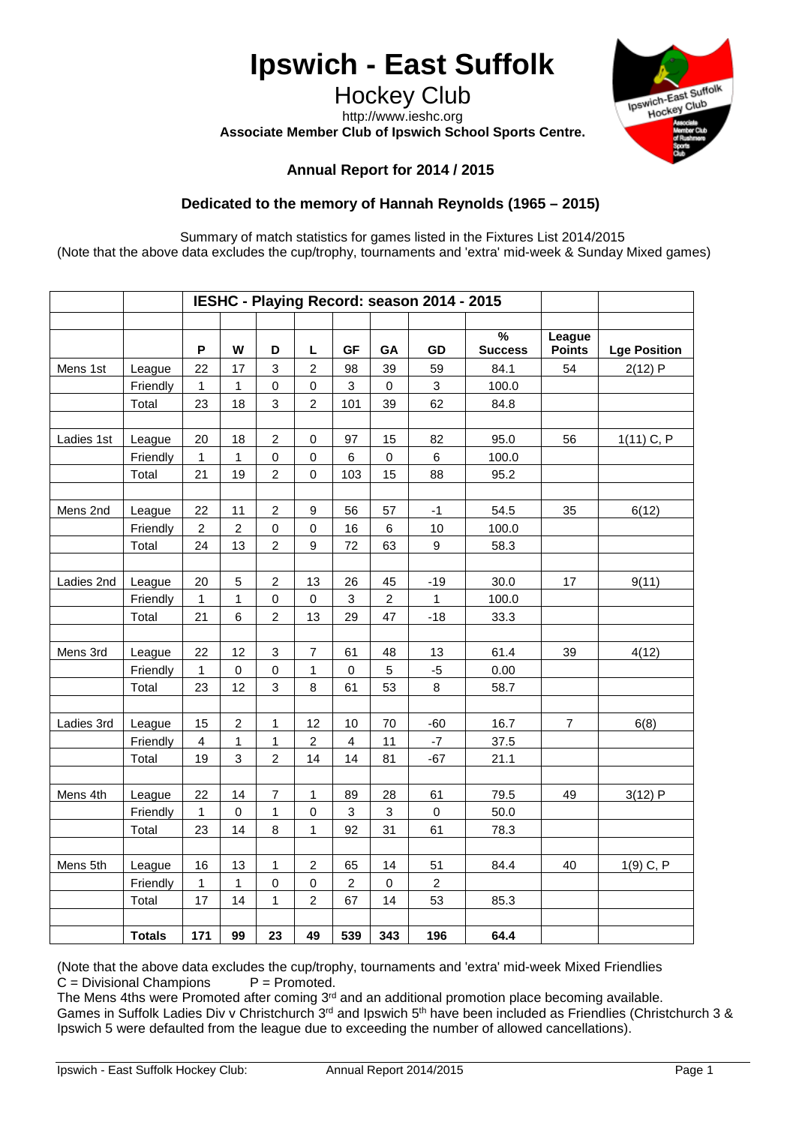# **Ipswich - East Suffolk**

Hockey Club http://www.ieshc.org **Associate Member Club of Ipswich School Sports Centre.**



## **Annual Report for 2014 / 2015**

# **Dedicated to the memory of Hannah Reynolds (1965 – 2015)**

Summary of match statistics for games listed in the Fixtures List 2014/2015 (Note that the above data excludes the cup/trophy, tournaments and 'extra' mid-week & Sunday Mixed games)

|            |               |                         |                |                          |                  |                |                     | IESHC - Playing Record: season 2014 - 2015 |                                 |                         |                     |
|------------|---------------|-------------------------|----------------|--------------------------|------------------|----------------|---------------------|--------------------------------------------|---------------------------------|-------------------------|---------------------|
|            |               | P                       | W              | D                        | L                | <b>GF</b>      | GA                  | GD                                         | $\frac{9}{6}$<br><b>Success</b> | League<br><b>Points</b> | <b>Lge Position</b> |
| Mens 1st   | League        | 22                      | 17             | 3                        | $\boldsymbol{2}$ | 98             | 39                  | 59                                         | 84.1                            | 54                      | 2(12)P              |
|            | Friendly      | 1                       | 1              | $\pmb{0}$                | $\pmb{0}$        | 3              | $\mathsf{O}\xspace$ | $\sqrt{3}$                                 | 100.0                           |                         |                     |
|            | Total         | 23                      | 18             | 3                        | $\overline{c}$   | 101            | 39                  | 62                                         | 84.8                            |                         |                     |
|            |               |                         |                |                          |                  |                |                     |                                            |                                 |                         |                     |
| Ladies 1st | League        | 20                      | 18             | $\overline{c}$           | $\pmb{0}$        | 97             | 15                  | 82                                         | 95.0                            | 56                      | $1(11)$ C, P        |
|            | Friendly      | $\mathbf{1}$            | 1              | $\pmb{0}$                | $\pmb{0}$        | 6              | $\mathsf{O}\xspace$ | 6                                          | 100.0                           |                         |                     |
|            | Total         | 21                      | 19             | $\overline{2}$           | $\mathbf 0$      | 103            | 15                  | 88                                         | 95.2                            |                         |                     |
|            |               |                         |                |                          |                  |                |                     |                                            |                                 |                         |                     |
| Mens 2nd   | League        | 22                      | 11             | $\boldsymbol{2}$         | $\boldsymbol{9}$ | 56             | 57                  | $-1$                                       | 54.5                            | 35                      | 6(12)               |
|            | Friendly      | $\overline{2}$          | $\overline{c}$ | $\pmb{0}$                | $\mathbf 0$      | 16             | 6                   | 10                                         | 100.0                           |                         |                     |
|            | Total         | 24                      | 13             | $\overline{c}$           | 9                | 72             | 63                  | 9                                          | 58.3                            |                         |                     |
|            |               |                         |                |                          |                  |                |                     |                                            |                                 |                         |                     |
| Ladies 2nd | League        | 20                      | 5              | $\overline{c}$           | 13               | 26             | 45                  | $-19$                                      | 30.0                            | 17                      | 9(11)               |
|            | Friendly      | $\mathbf{1}$            | $\mathbf{1}$   | $\mathbf 0$              | $\mathsf 0$      | 3              | $\overline{2}$      | 1                                          | 100.0                           |                         |                     |
|            | Total         | 21                      | 6              | $\overline{c}$           | 13               | 29             | 47                  | $-18$                                      | 33.3                            |                         |                     |
|            |               |                         |                |                          |                  |                |                     |                                            |                                 |                         |                     |
| Mens 3rd   | League        | 22                      | 12             | $\mathsf 3$              | $\overline{7}$   | 61             | 48                  | 13                                         | 61.4                            | 39                      | 4(12)               |
|            | Friendly      | 1                       | $\pmb{0}$      | $\pmb{0}$                | 1                | $\pmb{0}$      | 5                   | $-5$                                       | 0.00                            |                         |                     |
|            | Total         | 23                      | 12             | 3                        | 8                | 61             | 53                  | $\bf 8$                                    | 58.7                            |                         |                     |
|            |               |                         |                |                          |                  |                |                     |                                            |                                 |                         |                     |
| Ladies 3rd | League        | 15                      | $\overline{c}$ | 1                        | 12               | 10             | 70                  | $-60$                                      | 16.7                            | $\overline{7}$          | 6(8)                |
|            | Friendly      | $\overline{\mathbf{4}}$ | 1              | 1                        | $\overline{c}$   | $\overline{4}$ | 11                  | $-7$                                       | 37.5                            |                         |                     |
|            | Total         | 19                      | 3              | $\overline{2}$           | 14               | 14             | 81                  | $-67$                                      | 21.1                            |                         |                     |
|            |               |                         |                |                          |                  |                |                     |                                            |                                 |                         |                     |
| Mens 4th   | League        | 22                      | 14             | $\overline{\mathcal{I}}$ | 1                | 89             | 28                  | 61                                         | 79.5                            | 49                      | 3(12)P              |
|            | Friendly      | $\mathbf{1}$            | $\mathbf 0$    | $\mathbf{1}$             | $\pmb{0}$        | 3              | 3                   | $\mathsf 0$                                | 50.0                            |                         |                     |
|            | Total         | 23                      | 14             | 8                        | 1                | 92             | 31                  | 61                                         | 78.3                            |                         |                     |
|            |               |                         |                |                          |                  |                |                     |                                            |                                 |                         |                     |
| Mens 5th   | League        | 16                      | 13             | $\mathbf{1}$             | $\overline{c}$   | 65             | 14                  | 51                                         | 84.4                            | 40                      | $1(9)$ C, P         |
|            | Friendly      | $\mathbf{1}$            | $\mathbf{1}$   | $\pmb{0}$                | $\pmb{0}$        | $\overline{c}$ | $\mathsf{O}\xspace$ | $\overline{c}$                             |                                 |                         |                     |
|            | Total         | 17                      | 14             | 1                        | $\boldsymbol{2}$ | 67             | 14                  | 53                                         | 85.3                            |                         |                     |
|            |               |                         |                |                          |                  |                |                     |                                            |                                 |                         |                     |
|            | <b>Totals</b> | 171                     | 99             | 23                       | 49               | 539            | 343                 | 196                                        | 64.4                            |                         |                     |

(Note that the above data excludes the cup/trophy, tournaments and 'extra' mid-week Mixed Friendlies  $C = Divisional$  Champions  $P = Promoted$ .  $C = Divisional$  Champions

The Mens 4ths were Promoted after coming 3<sup>rd</sup> and an additional promotion place becoming available. Games in Suffolk Ladies Div v Christchurch 3rd and Ipswich 5th have been included as Friendlies (Christchurch 3 & Ipswich 5 were defaulted from the league due to exceeding the number of allowed cancellations).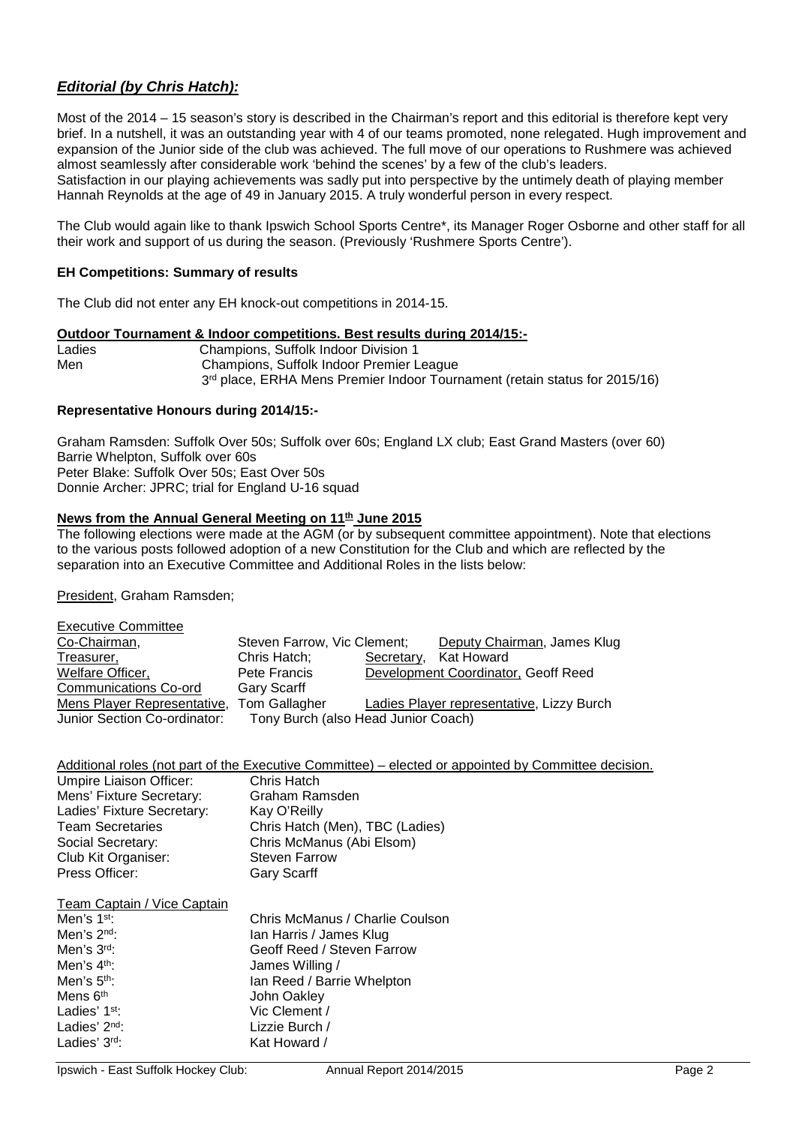# *Editorial (by Chris Hatch):*

Most of the 2014 – 15 season's story is described in the Chairman's report and this editorial is therefore kept very brief. In a nutshell, it was an outstanding year with 4 of our teams promoted, none relegated. Hugh improvement and expansion of the Junior side of the club was achieved. The full move of our operations to Rushmere was achieved almost seamlessly after considerable work 'behind the scenes' by a few of the club's leaders.

Satisfaction in our playing achievements was sadly put into perspective by the untimely death of playing member Hannah Reynolds at the age of 49 in January 2015. A truly wonderful person in every respect.

The Club would again like to thank Ipswich School Sports Centre\*, its Manager Roger Osborne and other staff for all their work and support of us during the season. (Previously 'Rushmere Sports Centre').

#### **EH Competitions: Summary of results**

The Club did not enter any EH knock-out competitions in 2014-15.

#### **Outdoor Tournament & Indoor competitions. Best results during 2014/15:-**

| Ladies | Champions, Suffolk Indoor Division 1                                                   |
|--------|----------------------------------------------------------------------------------------|
| Men    | Champions, Suffolk Indoor Premier League                                               |
|        | 3 <sup>rd</sup> place, ERHA Mens Premier Indoor Tournament (retain status for 2015/16) |

#### **Representative Honours during 2014/15:-**

Graham Ramsden: Suffolk Over 50s; Suffolk over 60s; England LX club; East Grand Masters (over 60) Barrie Whelpton, Suffolk over 60s Peter Blake: Suffolk Over 50s; East Over 50s Donnie Archer: JPRC; trial for England U-16 squad

#### **News from the Annual General Meeting on 11<sup>th</sup> June 2015**

The following elections were made at the AGM (or by subsequent committee appointment). Note that elections to the various posts followed adoption of a new Constitution for the Club and which are reflected by the separation into an Executive Committee and Additional Roles in the lists below:

President, Graham Ramsden;

| <b>Executive Committee</b>   |                             |                                     |                                           |
|------------------------------|-----------------------------|-------------------------------------|-------------------------------------------|
| Co-Chairman,                 | Steven Farrow, Vic Clement; |                                     | Deputy Chairman, James Klug               |
| Treasurer,                   | Chris Hatch;                | Secretary,                          | <b>Kat Howard</b>                         |
| Welfare Officer,             | Pete Francis                |                                     | Development Coordinator, Geoff Reed       |
| <b>Communications Co-ord</b> | <b>Gary Scarff</b>          |                                     |                                           |
| Mens Player Representative,  | <b>Tom Gallagher</b>        |                                     | Ladies Player representative, Lizzy Burch |
| Junior Section Co-ordinator: |                             | Tony Burch (also Head Junior Coach) |                                           |

|                            | Additional roles (not part of the Executive Committee) – elected or appointed by Committee decision. |
|----------------------------|------------------------------------------------------------------------------------------------------|
| Umpire Liaison Officer:    | Chris Hatch                                                                                          |
| Mens' Fixture Secretary:   | Graham Ramsden                                                                                       |
| Ladies' Fixture Secretary: | Kay O'Reilly                                                                                         |
| <b>Team Secretaries</b>    | Chris Hatch (Men), TBC (Ladies)                                                                      |
| Social Secretary:          | Chris McManus (Abi Elsom)                                                                            |
| Club Kit Organiser:        | <b>Steven Farrow</b>                                                                                 |
| Press Officer:             | <b>Gary Scarff</b>                                                                                   |
|                            |                                                                                                      |

Team Captain / Vice Captain

| Men's 1 <sup>st</sup> :   | Chris McManus / Charlie Coulson |
|---------------------------|---------------------------------|
| Men's 2 <sup>nd</sup> :   | Ian Harris / James Klug         |
| Men's 3rd:                | Geoff Reed / Steven Farrow      |
| Men's $4th$ :             | James Willing /                 |
| Men's 5 <sup>th</sup> :   | Ian Reed / Barrie Whelpton      |
| Mens 6 <sup>th</sup>      | John Oakley                     |
| Ladies' 1 <sup>st</sup> : | Vic Clement /                   |
| Ladies' $2nd$ :           | Lizzie Burch /                  |
| Ladies' 3rd:              | Kat Howard /                    |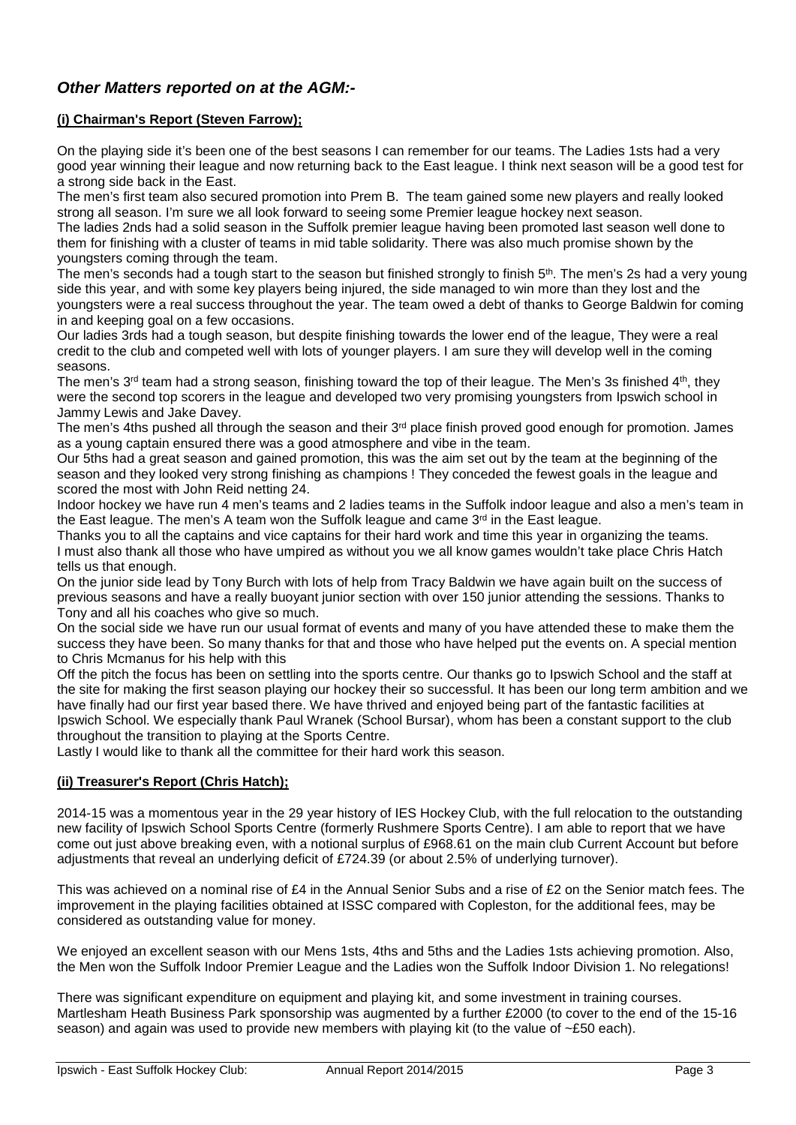# *Other Matters reported on at the AGM:-*

# **(i) Chairman's Report (Steven Farrow);**

On the playing side it's been one of the best seasons I can remember for our teams. The Ladies 1sts had a very good year winning their league and now returning back to the East league. I think next season will be a good test for a strong side back in the East.

The men's first team also secured promotion into Prem B. The team gained some new players and really looked strong all season. I'm sure we all look forward to seeing some Premier league hockey next season.

The ladies 2nds had a solid season in the Suffolk premier league having been promoted last season well done to them for finishing with a cluster of teams in mid table solidarity. There was also much promise shown by the youngsters coming through the team.

The men's seconds had a tough start to the season but finished strongly to finish 5<sup>th</sup>. The men's 2s had a very young side this year, and with some key players being injured, the side managed to win more than they lost and the youngsters were a real success throughout the year. The team owed a debt of thanks to George Baldwin for coming in and keeping goal on a few occasions.

Our ladies 3rds had a tough season, but despite finishing towards the lower end of the league, They were a real credit to the club and competed well with lots of younger players. I am sure they will develop well in the coming seasons.

The men's  $3<sup>rd</sup>$  team had a strong season, finishing toward the top of their league. The Men's 3s finished 4<sup>th</sup>, they were the second top scorers in the league and developed two very promising youngsters from Ipswich school in Jammy Lewis and Jake Davey.

The men's 4ths pushed all through the season and their  $3<sup>rd</sup>$  place finish proved good enough for promotion. James as a young captain ensured there was a good atmosphere and vibe in the team.

Our 5ths had a great season and gained promotion, this was the aim set out by the team at the beginning of the season and they looked very strong finishing as champions ! They conceded the fewest goals in the league and scored the most with John Reid netting 24.

Indoor hockey we have run 4 men's teams and 2 ladies teams in the Suffolk indoor league and also a men's team in the East league. The men's A team won the Suffolk league and came 3<sup>rd</sup> in the East league.

Thanks you to all the captains and vice captains for their hard work and time this year in organizing the teams. I must also thank all those who have umpired as without you we all know games wouldn't take place Chris Hatch tells us that enough.

On the junior side lead by Tony Burch with lots of help from Tracy Baldwin we have again built on the success of previous seasons and have a really buoyant junior section with over 150 junior attending the sessions. Thanks to Tony and all his coaches who give so much.

On the social side we have run our usual format of events and many of you have attended these to make them the success they have been. So many thanks for that and those who have helped put the events on. A special mention to Chris Mcmanus for his help with this

Off the pitch the focus has been on settling into the sports centre. Our thanks go to Ipswich School and the staff at the site for making the first season playing our hockey their so successful. It has been our long term ambition and we have finally had our first year based there. We have thrived and enjoyed being part of the fantastic facilities at Ipswich School. We especially thank Paul Wranek (School Bursar), whom has been a constant support to the club throughout the transition to playing at the Sports Centre.

Lastly I would like to thank all the committee for their hard work this season.

## **(ii) Treasurer's Report (Chris Hatch);**

2014-15 was a momentous year in the 29 year history of IES Hockey Club, with the full relocation to the outstanding new facility of Ipswich School Sports Centre (formerly Rushmere Sports Centre). I am able to report that we have come out just above breaking even, with a notional surplus of £968.61 on the main club Current Account but before adjustments that reveal an underlying deficit of £724.39 (or about 2.5% of underlying turnover).

This was achieved on a nominal rise of £4 in the Annual Senior Subs and a rise of £2 on the Senior match fees. The improvement in the playing facilities obtained at ISSC compared with Copleston, for the additional fees, may be considered as outstanding value for money.

We enjoyed an excellent season with our Mens 1sts, 4ths and 5ths and the Ladies 1sts achieving promotion. Also, the Men won the Suffolk Indoor Premier League and the Ladies won the Suffolk Indoor Division 1. No relegations!

There was significant expenditure on equipment and playing kit, and some investment in training courses. Martlesham Heath Business Park sponsorship was augmented by a further £2000 (to cover to the end of the 15-16 season) and again was used to provide new members with playing kit (to the value of ~£50 each).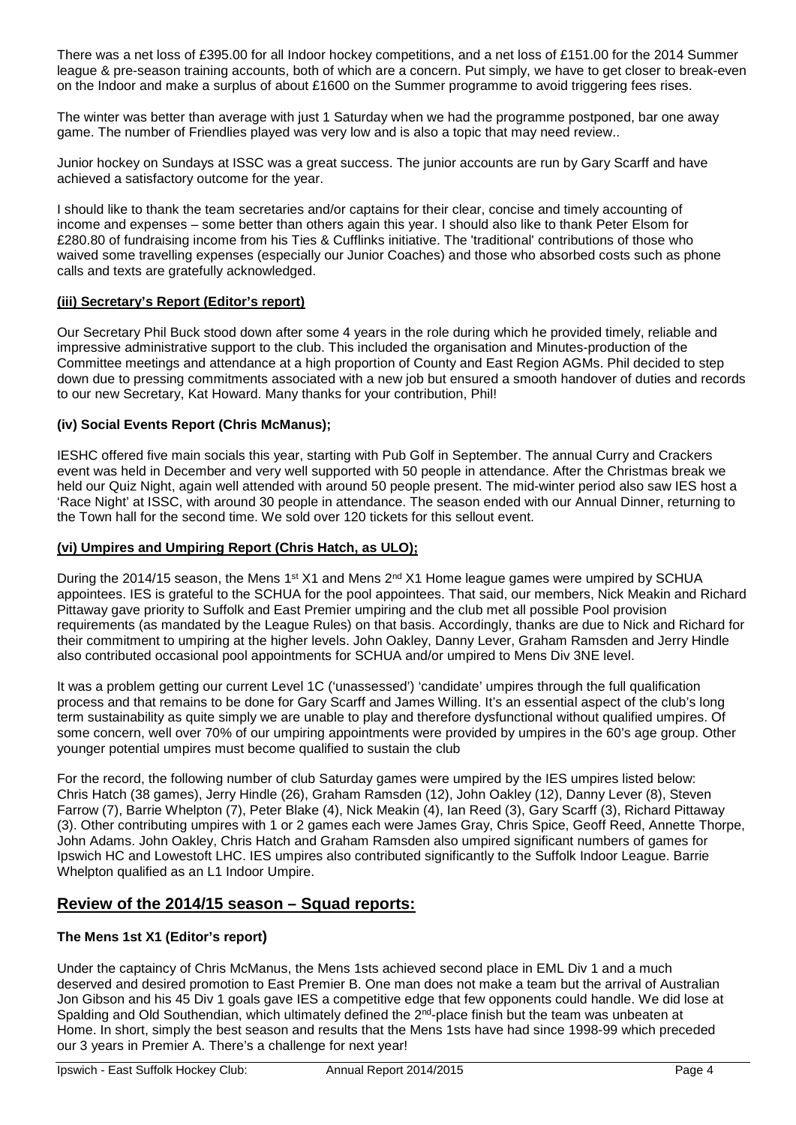There was a net loss of £395.00 for all Indoor hockey competitions, and a net loss of £151.00 for the 2014 Summer league & pre-season training accounts, both of which are a concern. Put simply, we have to get closer to break-even on the Indoor and make a surplus of about £1600 on the Summer programme to avoid triggering fees rises.

The winter was better than average with just 1 Saturday when we had the programme postponed, bar one away game. The number of Friendlies played was very low and is also a topic that may need review..

Junior hockey on Sundays at ISSC was a great success. The junior accounts are run by Gary Scarff and have achieved a satisfactory outcome for the year.

I should like to thank the team secretaries and/or captains for their clear, concise and timely accounting of income and expenses – some better than others again this year. I should also like to thank Peter Elsom for £280.80 of fundraising income from his Ties & Cufflinks initiative. The 'traditional' contributions of those who waived some travelling expenses (especially our Junior Coaches) and those who absorbed costs such as phone calls and texts are gratefully acknowledged.

## **(iii) Secretary's Report (Editor's report)**

Our Secretary Phil Buck stood down after some 4 years in the role during which he provided timely, reliable and impressive administrative support to the club. This included the organisation and Minutes-production of the Committee meetings and attendance at a high proportion of County and East Region AGMs. Phil decided to step down due to pressing commitments associated with a new job but ensured a smooth handover of duties and records to our new Secretary, Kat Howard. Many thanks for your contribution, Phil!

## **(iv) Social Events Report (Chris McManus);**

IESHC offered five main socials this year, starting with Pub Golf in September. The annual Curry and Crackers event was held in December and very well supported with 50 people in attendance. After the Christmas break we held our Quiz Night, again well attended with around 50 people present. The mid-winter period also saw IES host a 'Race Night' at ISSC, with around 30 people in attendance. The season ended with our Annual Dinner, returning to the Town hall for the second time. We sold over 120 tickets for this sellout event.

## **(vi) Umpires and Umpiring Report (Chris Hatch, as ULO);**

During the 2014/15 season, the Mens 1<sup>st</sup> X1 and Mens 2<sup>nd</sup> X1 Home league games were umpired by SCHUA appointees. IES is grateful to the SCHUA for the pool appointees. That said, our members, Nick Meakin and Richard Pittaway gave priority to Suffolk and East Premier umpiring and the club met all possible Pool provision requirements (as mandated by the League Rules) on that basis. Accordingly, thanks are due to Nick and Richard for their commitment to umpiring at the higher levels. John Oakley, Danny Lever, Graham Ramsden and Jerry Hindle also contributed occasional pool appointments for SCHUA and/or umpired to Mens Div 3NE level.

It was a problem getting our current Level 1C ('unassessed') 'candidate' umpires through the full qualification process and that remains to be done for Gary Scarff and James Willing. It's an essential aspect of the club's long term sustainability as quite simply we are unable to play and therefore dysfunctional without qualified umpires. Of some concern, well over 70% of our umpiring appointments were provided by umpires in the 60's age group. Other younger potential umpires must become qualified to sustain the club

For the record, the following number of club Saturday games were umpired by the IES umpires listed below: Chris Hatch (38 games), Jerry Hindle (26), Graham Ramsden (12), John Oakley (12), Danny Lever (8), Steven Farrow (7), Barrie Whelpton (7), Peter Blake (4), Nick Meakin (4), Ian Reed (3), Gary Scarff (3), Richard Pittaway (3). Other contributing umpires with 1 or 2 games each were James Gray, Chris Spice, Geoff Reed, Annette Thorpe, John Adams. John Oakley, Chris Hatch and Graham Ramsden also umpired significant numbers of games for Ipswich HC and Lowestoft LHC. IES umpires also contributed significantly to the Suffolk Indoor League. Barrie Whelpton qualified as an L1 Indoor Umpire.

# **Review of the 2014/15 season – Squad reports:**

## **The Mens 1st X1 (Editor's report)**

Under the captaincy of Chris McManus, the Mens 1sts achieved second place in EML Div 1 and a much deserved and desired promotion to East Premier B. One man does not make a team but the arrival of Australian Jon Gibson and his 45 Div 1 goals gave IES a competitive edge that few opponents could handle. We did lose at Spalding and Old Southendian, which ultimately defined the 2<sup>nd</sup>-place finish but the team was unbeaten at Home. In short, simply the best season and results that the Mens 1sts have had since 1998-99 which preceded our 3 years in Premier A. There's a challenge for next year!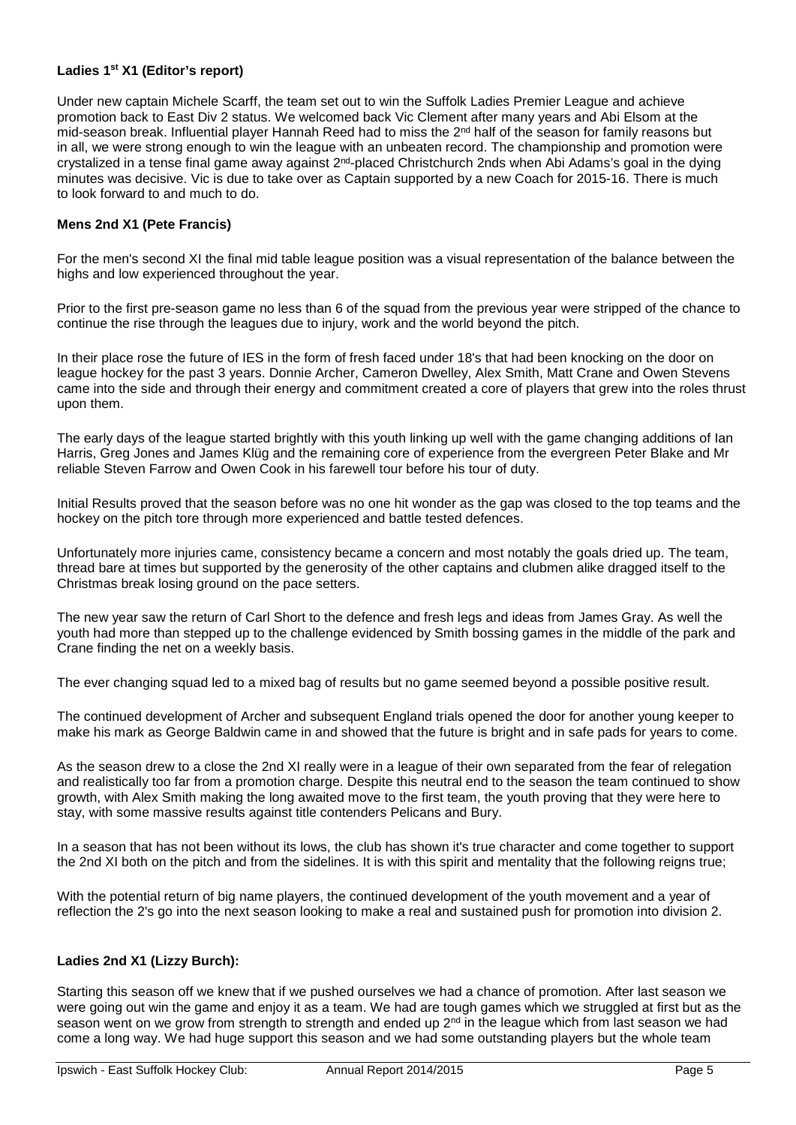## **Ladies 1st X1 (Editor's report)**

Under new captain Michele Scarff, the team set out to win the Suffolk Ladies Premier League and achieve promotion back to East Div 2 status. We welcomed back Vic Clement after many years and Abi Elsom at the mid-season break. Influential player Hannah Reed had to miss the 2<sup>nd</sup> half of the season for family reasons but in all, we were strong enough to win the league with an unbeaten record. The championship and promotion were crystalized in a tense final game away against 2nd-placed Christchurch 2nds when Abi Adams's goal in the dying minutes was decisive. Vic is due to take over as Captain supported by a new Coach for 2015-16. There is much to look forward to and much to do.

## **Mens 2nd X1 (Pete Francis)**

For the men's second XI the final mid table league position was a visual representation of the balance between the highs and low experienced throughout the year.

Prior to the first pre-season game no less than 6 of the squad from the previous year were stripped of the chance to continue the rise through the leagues due to injury, work and the world beyond the pitch.

In their place rose the future of IES in the form of fresh faced under 18's that had been knocking on the door on league hockey for the past 3 years. Donnie Archer, Cameron Dwelley, Alex Smith, Matt Crane and Owen Stevens came into the side and through their energy and commitment created a core of players that grew into the roles thrust upon them.

The early days of the league started brightly with this youth linking up well with the game changing additions of Ian Harris, Greg Jones and James Klüg and the remaining core of experience from the evergreen Peter Blake and Mr reliable Steven Farrow and Owen Cook in his farewell tour before his tour of duty.

Initial Results proved that the season before was no one hit wonder as the gap was closed to the top teams and the hockey on the pitch tore through more experienced and battle tested defences.

Unfortunately more injuries came, consistency became a concern and most notably the goals dried up. The team, thread bare at times but supported by the generosity of the other captains and clubmen alike dragged itself to the Christmas break losing ground on the pace setters.

The new year saw the return of Carl Short to the defence and fresh legs and ideas from James Gray. As well the youth had more than stepped up to the challenge evidenced by Smith bossing games in the middle of the park and Crane finding the net on a weekly basis.

The ever changing squad led to a mixed bag of results but no game seemed beyond a possible positive result.

The continued development of Archer and subsequent England trials opened the door for another young keeper to make his mark as George Baldwin came in and showed that the future is bright and in safe pads for years to come.

As the season drew to a close the 2nd XI really were in a league of their own separated from the fear of relegation and realistically too far from a promotion charge. Despite this neutral end to the season the team continued to show growth, with Alex Smith making the long awaited move to the first team, the youth proving that they were here to stay, with some massive results against title contenders Pelicans and Bury.

In a season that has not been without its lows, the club has shown it's true character and come together to support the 2nd XI both on the pitch and from the sidelines. It is with this spirit and mentality that the following reigns true;

With the potential return of big name players, the continued development of the youth movement and a year of reflection the 2's go into the next season looking to make a real and sustained push for promotion into division 2.

## **Ladies 2nd X1 (Lizzy Burch):**

Starting this season off we knew that if we pushed ourselves we had a chance of promotion. After last season we were going out win the game and enjoy it as a team. We had are tough games which we struggled at first but as the season went on we grow from strength to strength and ended up 2<sup>nd</sup> in the league which from last season we had come a long way. We had huge support this season and we had some outstanding players but the whole team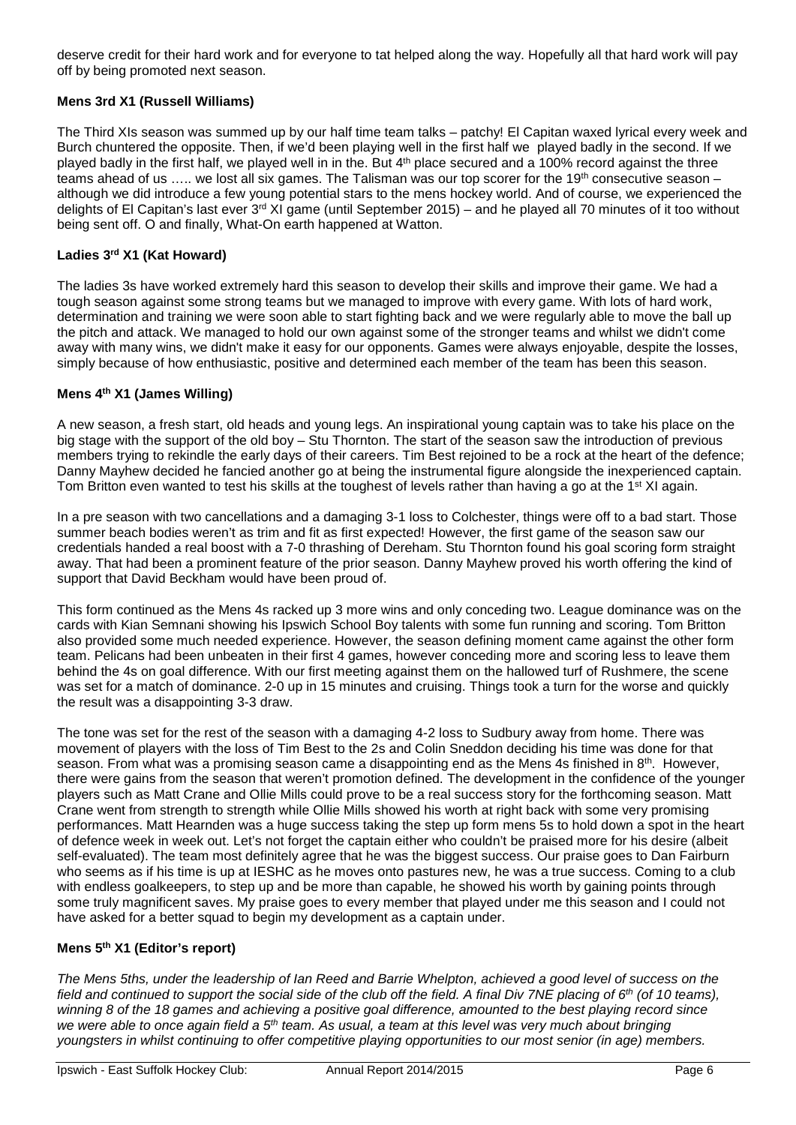deserve credit for their hard work and for everyone to tat helped along the way. Hopefully all that hard work will pay off by being promoted next season.

## **Mens 3rd X1 (Russell Williams)**

The Third XIs season was summed up by our half time team talks – patchy! El Capitan waxed lyrical every week and Burch chuntered the opposite. Then, if we'd been playing well in the first half we played badly in the second. If we played badly in the first half, we played well in in the. But 4th place secured and a 100% record against the three teams ahead of us ..... we lost all six games. The Talisman was our top scorer for the 19<sup>th</sup> consecutive season – although we did introduce a few young potential stars to the mens hockey world. And of course, we experienced the delights of El Capitan's last ever  $3^{rd}$  XI game (until September 2015) – and he played all 70 minutes of it too without being sent off. O and finally, What-On earth happened at Watton.

## **Ladies 3rd X1 (Kat Howard)**

The ladies 3s have worked extremely hard this season to develop their skills and improve their game. We had a tough season against some strong teams but we managed to improve with every game. With lots of hard work, determination and training we were soon able to start fighting back and we were regularly able to move the ball up the pitch and attack. We managed to hold our own against some of the stronger teams and whilst we didn't come away with many wins, we didn't make it easy for our opponents. Games were always enjoyable, despite the losses, simply because of how enthusiastic, positive and determined each member of the team has been this season.

## **Mens 4th X1 (James Willing)**

A new season, a fresh start, old heads and young legs. An inspirational young captain was to take his place on the big stage with the support of the old boy – Stu Thornton. The start of the season saw the introduction of previous members trying to rekindle the early days of their careers. Tim Best rejoined to be a rock at the heart of the defence; Danny Mayhew decided he fancied another go at being the instrumental figure alongside the inexperienced captain. Tom Britton even wanted to test his skills at the toughest of levels rather than having a go at the 1<sup>st</sup> XI again.

In a pre season with two cancellations and a damaging 3-1 loss to Colchester, things were off to a bad start. Those summer beach bodies weren't as trim and fit as first expected! However, the first game of the season saw our credentials handed a real boost with a 7-0 thrashing of Dereham. Stu Thornton found his goal scoring form straight away. That had been a prominent feature of the prior season. Danny Mayhew proved his worth offering the kind of support that David Beckham would have been proud of.

This form continued as the Mens 4s racked up 3 more wins and only conceding two. League dominance was on the cards with Kian Semnani showing his Ipswich School Boy talents with some fun running and scoring. Tom Britton also provided some much needed experience. However, the season defining moment came against the other form team. Pelicans had been unbeaten in their first 4 games, however conceding more and scoring less to leave them behind the 4s on goal difference. With our first meeting against them on the hallowed turf of Rushmere, the scene was set for a match of dominance. 2-0 up in 15 minutes and cruising. Things took a turn for the worse and quickly the result was a disappointing 3-3 draw.

The tone was set for the rest of the season with a damaging 4-2 loss to Sudbury away from home. There was movement of players with the loss of Tim Best to the 2s and Colin Sneddon deciding his time was done for that season. From what was a promising season came a disappointing end as the Mens 4s finished in 8<sup>th</sup>. However, there were gains from the season that weren't promotion defined. The development in the confidence of the younger players such as Matt Crane and Ollie Mills could prove to be a real success story for the forthcoming season. Matt Crane went from strength to strength while Ollie Mills showed his worth at right back with some very promising performances. Matt Hearnden was a huge success taking the step up form mens 5s to hold down a spot in the heart of defence week in week out. Let's not forget the captain either who couldn't be praised more for his desire (albeit self-evaluated). The team most definitely agree that he was the biggest success. Our praise goes to Dan Fairburn who seems as if his time is up at IESHC as he moves onto pastures new, he was a true success. Coming to a club with endless goalkeepers, to step up and be more than capable, he showed his worth by gaining points through some truly magnificent saves. My praise goes to every member that played under me this season and I could not have asked for a better squad to begin my development as a captain under.

## **Mens 5th X1 (Editor's report)**

*The Mens 5ths, under the leadership of Ian Reed and Barrie Whelpton, achieved a good level of success on the field and continued to support the social side of the club off the field. A final Div 7NE placing of 6th (of 10 teams),*  winning 8 of the 18 games and achieving a positive goal difference, amounted to the best playing record since *we were able to once again field a 5th team. As usual, a team at this level was very much about bringing youngsters in whilst continuing to offer competitive playing opportunities to our most senior (in age) members.*